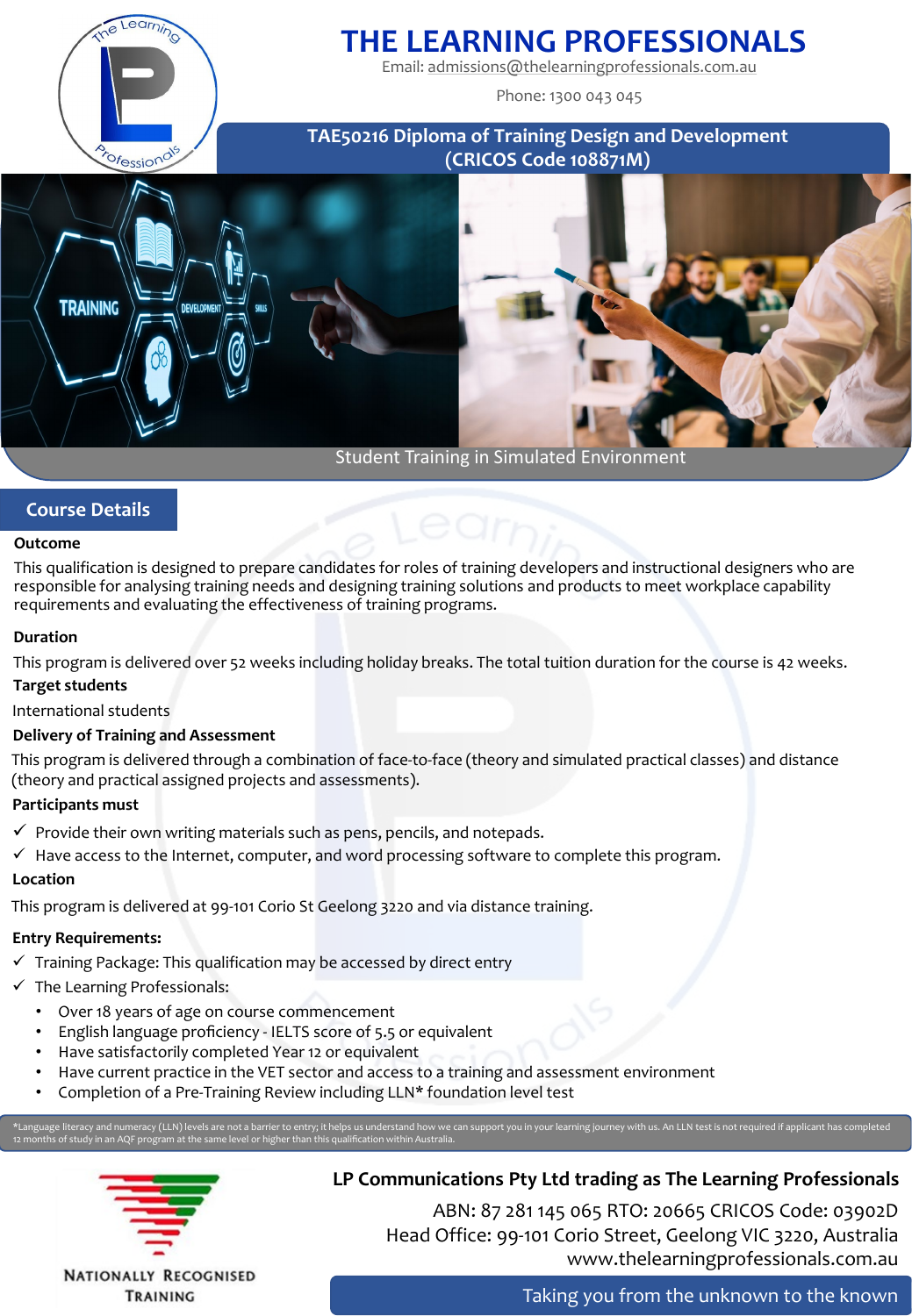

# **THE LEARNING PROFESSIONALS**

Email: [admissions@thelearningprofessionals.com.au](mailto:admissions@thelearningprofessionals.com.au)

Phone: 1300 043 045

**TAE50216 Diploma of Training Design and Development (CRICOS Code 108871M)**



# **Course Details**

## **Outcome**

This qualification is designed to prepare candidates for roles of training developers and instructional designers who are responsible for analysing training needs and designing training solutions and products to meet workplace capability requirements and evaluating the effectiveness of training programs.

## **Duration**

This program is delivered over 52 weeks including holiday breaks. The total tuition duration for the course is 42 weeks.

## **Target students**

International students

## **Delivery of Training and Assessment**

This program is delivered through a combination of face-to-face (theory and simulated practical classes) and distance (theory and practical assigned projects and assessments).

## **Participants must**

- $\checkmark$  Provide their own writing materials such as pens, pencils, and notepads.
- $\checkmark$  Have access to the Internet, computer, and word processing software to complete this program.

## **Location**

This program is delivered at 99-101 Corio St Geelong 3220 and via distance training.

## **Entry Requirements:**

- $\checkmark$  Training Package: This qualification may be accessed by direct entry
- $\checkmark$  The Learning Professionals:
	- Over 18 years of age on course commencement
	- English language proficiency IELTS score of 5.5 or equivalent
	- Have satisfactorily completed Year 12 or equivalent
	- Have current practice in the VET sector and access to a training and assessment environment
	- Completion of a Pre-Training Review including LLN\* foundation level test

\*Language literacy and numeracy (LLN) levels are not a barrier to entry; it helps us understand how we can support you in your learning journey with us. An LLN test is not required if applicant has completed 12 months of study in an AQF program at the same level or higher than this qualification within Australia.



TRAINING

# **LP Communications Pty Ltd trading as The Learning Professionals**

ABN: 87 281 145 065 RTO: 20665 CRICOS Code: 03902D Head Office: 99-101 Corio Street, Geelong VIC 3220, Australia www.thelearningprofessionals.com.au

Taking you from the unknown to the known